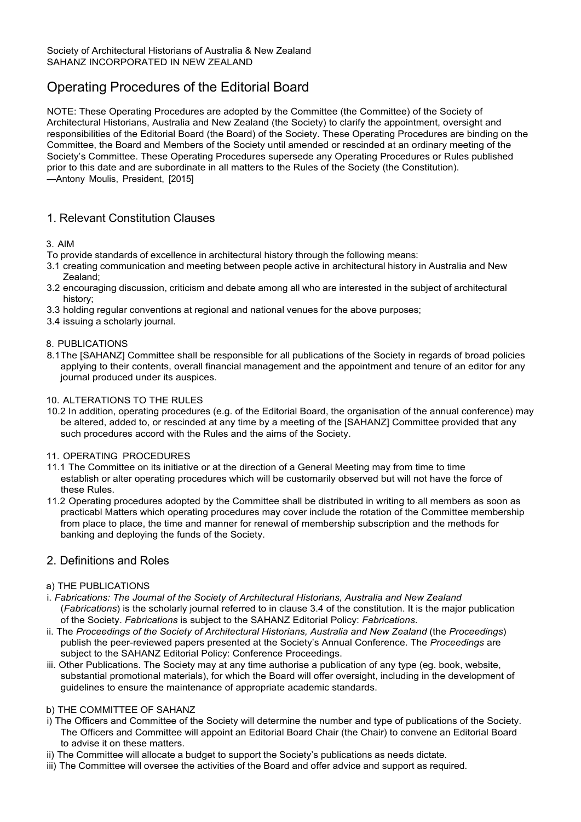# Operating Procedures of the Editorial Board

NOTE: These Operating Procedures are adopted by the Committee (the Committee) of the Society of Architectural Historians, Australia and New Zealand (the Society) to clarify the appointment, oversight and responsibilities of the Editorial Board (the Board) of the Society. These Operating Procedures are binding on the Committee, the Board and Members of the Society until amended or rescinded at an ordinary meeting of the Society's Committee. These Operating Procedures supersede any Operating Procedures or Rules published prior to this date and are subordinate in all matters to the Rules of the Society (the Constitution). —Antony Moulis, President, [2015]

# 1. Relevant Constitution Clauses

## 3. AIM

- To provide standards of excellence in architectural history through the following means:
- 3.1 creating communication and meeting between people active in architectural history in Australia and New Zealand;
- 3.2 encouraging discussion, criticism and debate among all who are interested in the subject of architectural history;
- 3.3 holding regular conventions at regional and national venues for the above purposes;
- 3.4 issuing a scholarly journal.

## 8. PUBLICATIONS

8.1The [SAHANZ] Committee shall be responsible for all publications of the Society in regards of broad policies applying to their contents, overall financial management and the appointment and tenure of an editor for any journal produced under its auspices.

#### 10. ALTERATIONS TO THE RULES

10.2 In addition, operating procedures (e.g. of the Editorial Board, the organisation of the annual conference) may be altered, added to, or rescinded at any time by a meeting of the [SAHANZ] Committee provided that any such procedures accord with the Rules and the aims of the Society.

## 11. OPERATING PROCEDURES

- 11.1 The Committee on its initiative or at the direction of a General Meeting may from time to time establish or alter operating procedures which will be customarily observed but will not have the force of these Rules.
- 11.2 Operating procedures adopted by the Committee shall be distributed in writing to all members as soon as practicabl Matters which operating procedures may cover include the rotation of the Committee membership from place to place, the time and manner for renewal of membership subscription and the methods for banking and deploying the funds of the Society.

## 2. Definitions and Roles

## a) THE PUBLICATIONS

- i. *Fabrications: The Journal of the Society of Architectural Historians, Australia and New Zealand*  (*Fabrications*) is the scholarly journal referred to in clause 3.4 of the constitution. It is the major publication of the Society. *Fabrications* is subject to the SAHANZ Editorial Policy: *Fabrications*.
- ii. The *Proceedings of the Society of Architectural Historians, Australia and New Zealand* (the *Proceedings*) publish the peer-reviewed papers presented at the Society's Annual Conference. The *Proceedings* are subject to the SAHANZ Editorial Policy: Conference Proceedings.
- iii. Other Publications. The Society may at any time authorise a publication of any type (eg. book, website, substantial promotional materials), for which the Board will offer oversight, including in the development of guidelines to ensure the maintenance of appropriate academic standards.

## b) THE COMMITTEE OF SAHANZ

- i) The Officers and Committee of the Society will determine the number and type of publications of the Society. The Officers and Committee will appoint an Editorial Board Chair (the Chair) to convene an Editorial Board to advise it on these matters.
- ii) The Committee will allocate a budget to support the Society's publications as needs dictate.
- iii) The Committee will oversee the activities of the Board and offer advice and support as required.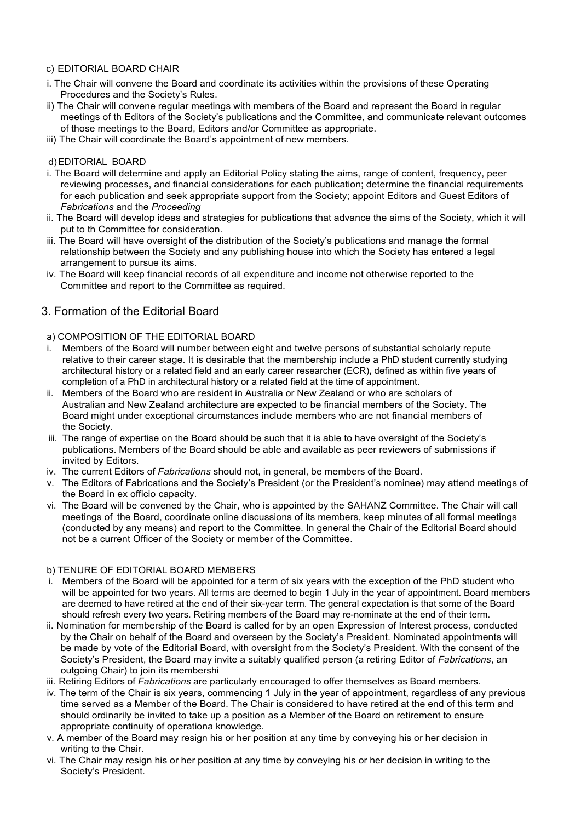## c) EDITORIAL BOARD CHAIR

- i. The Chair will convene the Board and coordinate its activities within the provisions of these Operating Procedures and the Society's Rules.
- ii) The Chair will convene regular meetings with members of the Board and represent the Board in regular meetings of th Editors of the Society's publications and the Committee, and communicate relevant outcomes of those meetings to the Board, Editors and/or Committee as appropriate.
- iii) The Chair will coordinate the Board's appointment of new members.

#### d)EDITORIAL BOARD

- i. The Board will determine and apply an Editorial Policy stating the aims, range of content, frequency, peer reviewing processes, and financial considerations for each publication; determine the financial requirements for each publication and seek appropriate support from the Society; appoint Editors and Guest Editors of *Fabrications* and the *Proceeding*
- ii. The Board will develop ideas and strategies for publications that advance the aims of the Society, which it will put to th Committee for consideration.
- iii. The Board will have oversight of the distribution of the Society's publications and manage the formal relationship between the Society and any publishing house into which the Society has entered a legal arrangement to pursue its aims.
- iv. The Board will keep financial records of all expenditure and income not otherwise reported to the Committee and report to the Committee as required.

# 3. Formation of the Editorial Board

## a) COMPOSITION OF THE EDITORIAL BOARD

- i. Members of the Board will number between eight and twelve persons of substantial scholarly repute relative to their career stage. It is desirable that the membership include a PhD student currently studying architectural history or a related field and an early career researcher (ECR)**,** defined as within five years of completion of a PhD in architectural history or a related field at the time of appointment.
- ii. Members of the Board who are resident in Australia or New Zealand or who are scholars of Australian and New Zealand architecture are expected to be financial members of the Society. The Board might under exceptional circumstances include members who are not financial members of the Society.
- iii. The range of expertise on the Board should be such that it is able to have oversight of the Society's publications. Members of the Board should be able and available as peer reviewers of submissions if invited by Editors.
- iv. The current Editors of *Fabrications* should not, in general, be members of the Board.
- v. The Editors of Fabrications and the Society's President (or the President's nominee) may attend meetings of the Board in ex officio capacity.
- vi. The Board will be convened by the Chair, who is appointed by the SAHANZ Committee. The Chair will call meetings of the Board, coordinate online discussions of its members, keep minutes of all formal meetings (conducted by any means) and report to the Committee. In general the Chair of the Editorial Board should not be a current Officer of the Society or member of the Committee.

## b) TENURE OF EDITORIAL BOARD MEMBERS

- i. Members of the Board will be appointed for a term of six years with the exception of the PhD student who will be appointed for two years. All terms are deemed to begin 1 July in the year of appointment. Board members are deemed to have retired at the end of their six-year term. The general expectation is that some of the Board should refresh every two years. Retiring members of the Board may re-nominate at the end of their term.
- ii. Nomination for membership of the Board is called for by an open Expression of Interest process, conducted by the Chair on behalf of the Board and overseen by the Society's President. Nominated appointments will be made by vote of the Editorial Board, with oversight from the Society's President. With the consent of the Society's President, the Board may invite a suitably qualified person (a retiring Editor of *Fabrications*, an outgoing Chair) to join its membershi
- iii. Retiring Editors of *Fabrications* are particularly encouraged to offer themselves as Board members.
- iv. The term of the Chair is six years, commencing 1 July in the year of appointment, regardless of any previous time served as a Member of the Board. The Chair is considered to have retired at the end of this term and should ordinarily be invited to take up a position as a Member of the Board on retirement to ensure appropriate continuity of operationa knowledge.
- v. A member of the Board may resign his or her position at any time by conveying his or her decision in writing to the Chair.
- vi. The Chair may resign his or her position at any time by conveying his or her decision in writing to the Society's President.